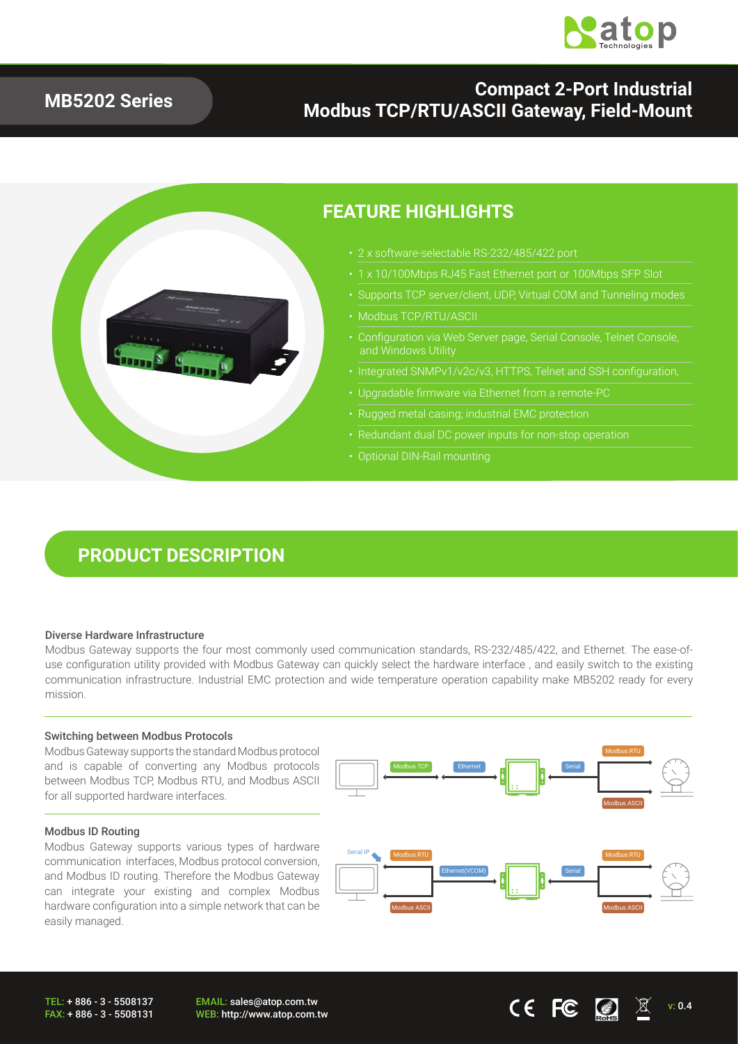

### **MB5202 Series**

### **Compact 2-Port Industrial Modbus TCP/RTU/ASCII Gateway, Field-Mount**



### **FEATURE HIGHLIGHTS**

- 2 x software-selectable RS-232/485/422 port
	-
- Supports TCP server/client, UDP, Virtual COM and Tunneling modes
- Modbus TCP/RTU/ASCII
- Configuration via Web Server page, Serial Console, Telnet Console, and Windows Utility
- Integrated SNMPv1/v2c/v3, HTTPS, Telnet and SSH configuration,
- Upgradable firmware via Ethernet from a remote-PC
- Rugged metal casing; industrial EMC protection
- 
- Optional DIN-Rail mounting

## **PRODUCT DESCRIPTION**

#### Diverse Hardware Infrastructure

Modbus Gateway supports the four most commonly used communication standards, RS-232/485/422, and Ethernet. The ease-ofuse configuration utility provided with Modbus Gateway can quickly select the hardware interface , and easily switch to the existing communication infrastructure. Industrial EMC protection and wide temperature operation capability make MB5202 ready for every mission.

#### Switching between Modbus Protocols

Modbus Gateway supports the standard Modbus protocol and is capable of converting any Modbus protocols between Modbus TCP, Modbus RTU, and Modbus ASCII for all supported hardware interfaces.

#### Modbus ID Routing

Modbus Gateway supports various types of hardware communication interfaces, Modbus protocol conversion, and Modbus ID routing. Therefore the Modbus Gateway can integrate your existing and complex Modbus hardware configuration into a simple network that can be easily managed.

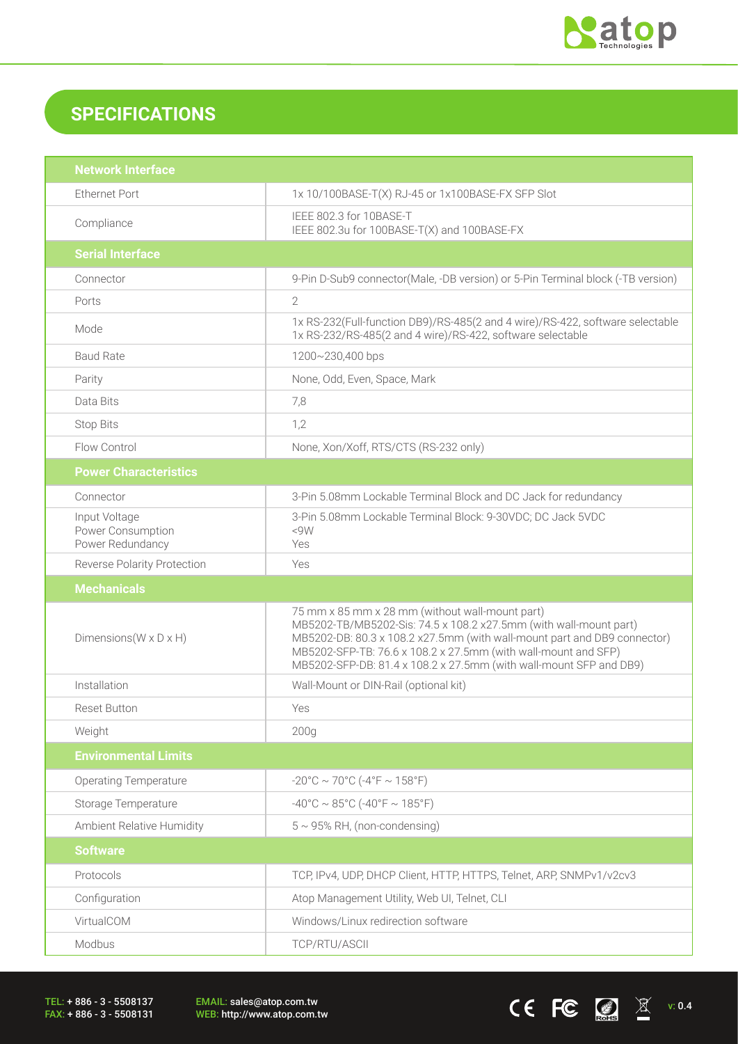

CEFC  $\bigcirc$  X v: 0.4

## **SPECIFICATIONS**

| <b>Network Interface</b>                               |                                                                                                                                                                                                                                                                                                                                          |  |
|--------------------------------------------------------|------------------------------------------------------------------------------------------------------------------------------------------------------------------------------------------------------------------------------------------------------------------------------------------------------------------------------------------|--|
| <b>Ethernet Port</b>                                   | 1x 10/100BASE-T(X) RJ-45 or 1x100BASE-FX SFP Slot                                                                                                                                                                                                                                                                                        |  |
| Compliance                                             | IEEE 802.3 for 10BASE-T<br>IEEE 802.3u for 100BASE-T(X) and 100BASE-FX                                                                                                                                                                                                                                                                   |  |
| <b>Serial Interface</b>                                |                                                                                                                                                                                                                                                                                                                                          |  |
| Connector                                              | 9-Pin D-Sub9 connector(Male, -DB version) or 5-Pin Terminal block (-TB version)                                                                                                                                                                                                                                                          |  |
| Ports                                                  | $\overline{2}$                                                                                                                                                                                                                                                                                                                           |  |
| Mode                                                   | 1x RS-232(Full-function DB9)/RS-485(2 and 4 wire)/RS-422, software selectable<br>1x RS-232/RS-485(2 and 4 wire)/RS-422, software selectable                                                                                                                                                                                              |  |
| <b>Baud Rate</b>                                       | 1200~230,400 bps                                                                                                                                                                                                                                                                                                                         |  |
| Parity                                                 | None, Odd, Even, Space, Mark                                                                                                                                                                                                                                                                                                             |  |
| Data Bits                                              | 7,8                                                                                                                                                                                                                                                                                                                                      |  |
| <b>Stop Bits</b>                                       | 1,2                                                                                                                                                                                                                                                                                                                                      |  |
| Flow Control                                           | None, Xon/Xoff, RTS/CTS (RS-232 only)                                                                                                                                                                                                                                                                                                    |  |
| <b>Power Characteristics</b>                           |                                                                                                                                                                                                                                                                                                                                          |  |
| Connector                                              | 3-Pin 5.08mm Lockable Terminal Block and DC Jack for redundancy                                                                                                                                                                                                                                                                          |  |
| Input Voltage<br>Power Consumption<br>Power Redundancy | 3-Pin 5.08mm Lockable Terminal Block: 9-30VDC; DC Jack 5VDC<br><9W<br>Yes                                                                                                                                                                                                                                                                |  |
| <b>Reverse Polarity Protection</b>                     | Yes                                                                                                                                                                                                                                                                                                                                      |  |
|                                                        |                                                                                                                                                                                                                                                                                                                                          |  |
| <b>Mechanicals</b>                                     |                                                                                                                                                                                                                                                                                                                                          |  |
| Dimensions ( $W \times D \times H$ )                   | 75 mm x 85 mm x 28 mm (without wall-mount part)<br>MB5202-TB/MB5202-Sis: 74.5 x 108.2 x27.5mm (with wall-mount part)<br>MB5202-DB: 80.3 x 108.2 x27.5mm (with wall-mount part and DB9 connector)<br>MB5202-SFP-TB: 76.6 x 108.2 x 27.5mm (with wall-mount and SFP)<br>MB5202-SFP-DB: 81.4 x 108.2 x 27.5mm (with wall-mount SFP and DB9) |  |
| Installation                                           | Wall-Mount or DIN-Rail (optional kit)                                                                                                                                                                                                                                                                                                    |  |
| <b>Reset Button</b>                                    | Yes                                                                                                                                                                                                                                                                                                                                      |  |
| Weight                                                 | 200 <sub>g</sub>                                                                                                                                                                                                                                                                                                                         |  |
| <b>Environmental Limits</b>                            |                                                                                                                                                                                                                                                                                                                                          |  |
| <b>Operating Temperature</b>                           | $-20^{\circ}$ C ~ 70°C ( $-4^{\circ}$ F ~ 158°F)                                                                                                                                                                                                                                                                                         |  |
| Storage Temperature                                    | $-40^{\circ}$ C ~ 85°C (-40°F ~ 185°F)                                                                                                                                                                                                                                                                                                   |  |
| Ambient Relative Humidity                              | $5 \sim 95\%$ RH, (non-condensing)                                                                                                                                                                                                                                                                                                       |  |
| <b>Software</b>                                        |                                                                                                                                                                                                                                                                                                                                          |  |
| Protocols                                              | TCP, IPv4, UDP, DHCP Client, HTTP, HTTPS, Telnet, ARP, SNMPv1/v2cv3                                                                                                                                                                                                                                                                      |  |
| Configuration                                          | Atop Management Utility, Web UI, Telnet, CLI                                                                                                                                                                                                                                                                                             |  |
| VirtualCOM                                             | Windows/Linux redirection software                                                                                                                                                                                                                                                                                                       |  |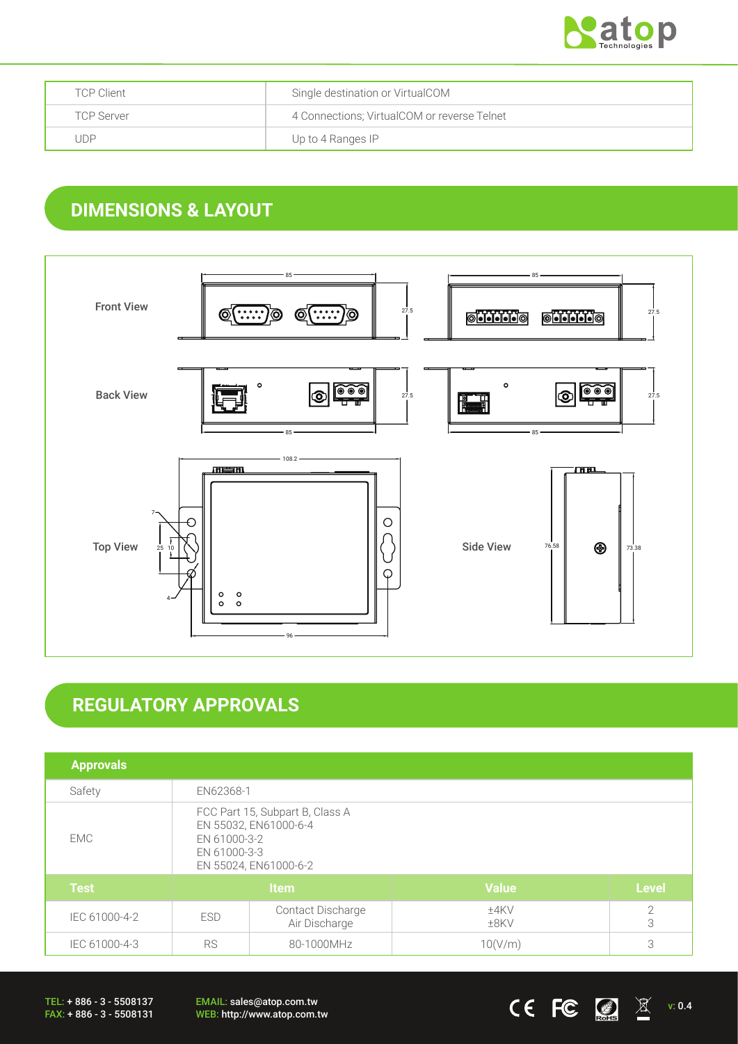

| <b>TCP Client</b> | Single destination or VirtualCOM            |
|-------------------|---------------------------------------------|
| <b>TCP Server</b> | 4 Connections; VirtualCOM or reverse Telnet |
| . JDP             | Up to 4 Ranges IP                           |

## **DIMENSIONS & LAYOUT**



# **REGULATORY APPROVALS**

| <b>Approvals</b> |                                                                                                                   |                                           |                 |                     |
|------------------|-------------------------------------------------------------------------------------------------------------------|-------------------------------------------|-----------------|---------------------|
| Safety           | EN62368-1                                                                                                         |                                           |                 |                     |
| EMC.             | FCC Part 15, Subpart B, Class A<br>EN 55032, EN61000-6-4<br>EN 61000-3-2<br>EN 61000-3-3<br>EN 55024, EN61000-6-2 |                                           |                 |                     |
| <b>Test</b>      | <b>Item</b>                                                                                                       |                                           | <b>Value</b>    | <b>Level</b>        |
| IEC 61000-4-2    | <b>ESD</b>                                                                                                        | <b>Contact Discharge</b><br>Air Discharge | ±4KV<br>$±8$ KV | $\overline{2}$<br>3 |
| IEC 61000-4-3    | <b>RS</b><br>80-1000MHz                                                                                           |                                           | 10(V/m)         | 3                   |